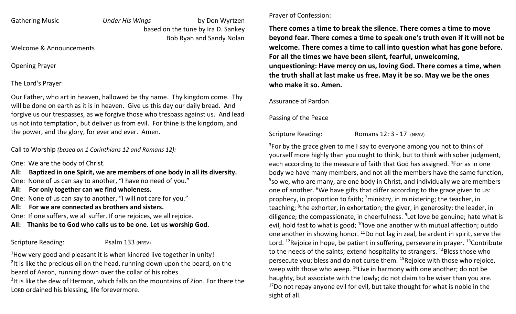Gathering Music **Cathering Music** Under His Wings by Don Wyrtzen based on the tune by Ira D. Sankey Bob Ryan and Sandy Nolan

Welcome & Announcements

Opening Prayer

# The Lord's Prayer

Our Father, who art in heaven, hallowed be thy name. Thy kingdom come. Thy will be done on earth as it is in heaven. Give us this day our daily bread. And forgive us our trespasses, as we forgive those who trespass against us. And lead us not into temptation, but deliver us from evil. For thine is the kingdom, and the power, and the glory, for ever and ever. Amen.

Call to Worship (based on 1 Corinthians 12 and Romans 12):

One: We are the body of Christ.

All: Baptized in one Spirit, we are members of one body in all its diversity.

One: None of us can say to another, "I have no need of you."

All: For only together can we find wholeness.

One: None of us can say to another, "I will not care for you."

### All: For we are connected as brothers and sisters.

One: If one suffers, we all suffer. If one rejoices, we all rejoice.

# All: Thanks be to God who calls us to be one. Let us worship God.

# Scripture Reading: Psalm 133 (NRSV)

 $1$ How very good and pleasant it is when kindred live together in unity! <sup>2</sup>It is like the precious oil on the head, running down upon the beard, on the beard of Aaron, running down over the collar of his robes.

<sup>3</sup>It is like the dew of Hermon, which falls on the mountains of Zion. For there the LORD ordained his blessing, life forevermore.

#### Prayer of Confession:

There comes a time to break the silence. There comes a time to move beyond fear. There comes a time to speak one's truth even if it will not be welcome. There comes a time to call into question what has gone before. For all the times we have been silent, fearful, unwelcoming, unquestioning: Have mercy on us, loving God. There comes a time, when the truth shall at last make us free. May it be so. May we be the ones who make it so. Amen.

#### Assurance of Pardon

Passing of the Peace

Scripture Reading: Romans 12: 3 - 17 (NRSV)

 $3$ For by the grace given to me I say to everyone among you not to think of yourself more highly than you ought to think, but to think with sober judgment, each according to the measure of faith that God has assigned. <sup>4</sup>For as in one body we have many members, and not all the members have the same function,  $5$ so we, who are many, are one body in Christ, and individually we are members one of another. <sup>6</sup>We have gifts that differ according to the grace given to us: prophecy, in proportion to faith;  $\frac{7}{1}$ ministry, in ministering; the teacher, in teaching; <sup>8</sup>the exhorter, in exhortation; the giver, in generosity; the leader, in diligence; the compassionate, in cheerfulness.  $9$ Let love be genuine; hate what is evil, hold fast to what is good;  $^{10}$  love one another with mutual affection; outdo one another in showing honor.  $11$ Do not lag in zeal, be ardent in spirit, serve the Lord. <sup>12</sup>Rejoice in hope, be patient in suffering, persevere in prayer. <sup>13</sup>Contribute to the needs of the saints; extend hospitality to strangers. <sup>14</sup>Bless those who persecute you; bless and do not curse them. <sup>15</sup>Rejoice with those who rejoice, weep with those who weep.  $^{16}$ Live in harmony with one another; do not be haughty, but associate with the lowly; do not claim to be wiser than you are.  $17$ Do not repay anyone evil for evil, but take thought for what is noble in the sight of all.